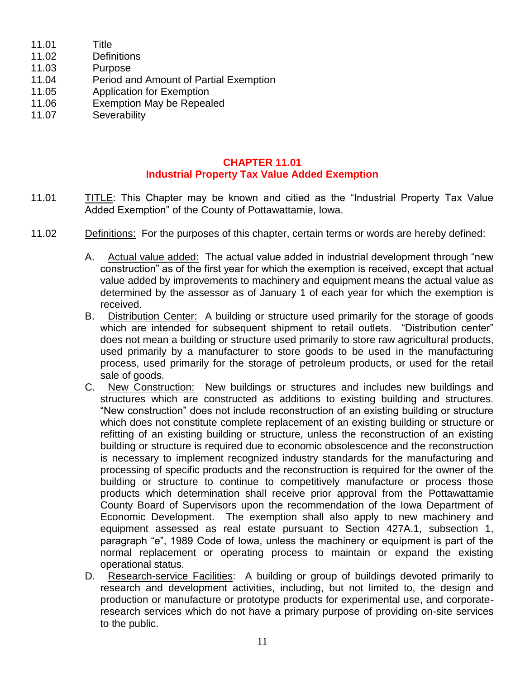- 11.01 Title
- 11.02 Definitions
- 11.03 Purpose
- 11.04 Period and Amount of Partial Exemption
- 11.05 Application for Exemption
- 11.06 Exemption May be Repealed
- 11.07 Severability

## **CHAPTER 11.01 Industrial Property Tax Value Added Exemption**

- 11.01 TITLE: This Chapter may be known and citied as the "Industrial Property Tax Value Added Exemption" of the County of Pottawattamie, Iowa.
- 11.02 Definitions: For the purposes of this chapter, certain terms or words are hereby defined:
	- A. Actual value added: The actual value added in industrial development through "new construction" as of the first year for which the exemption is received, except that actual value added by improvements to machinery and equipment means the actual value as determined by the assessor as of January 1 of each year for which the exemption is received.
	- B. Distribution Center: A building or structure used primarily for the storage of goods which are intended for subsequent shipment to retail outlets. "Distribution center" does not mean a building or structure used primarily to store raw agricultural products, used primarily by a manufacturer to store goods to be used in the manufacturing process, used primarily for the storage of petroleum products, or used for the retail sale of goods.
	- C. New Construction: New buildings or structures and includes new buildings and structures which are constructed as additions to existing building and structures. "New construction" does not include reconstruction of an existing building or structure which does not constitute complete replacement of an existing building or structure or refitting of an existing building or structure, unless the reconstruction of an existing building or structure is required due to economic obsolescence and the reconstruction is necessary to implement recognized industry standards for the manufacturing and processing of specific products and the reconstruction is required for the owner of the building or structure to continue to competitively manufacture or process those products which determination shall receive prior approval from the Pottawattamie County Board of Supervisors upon the recommendation of the Iowa Department of Economic Development. The exemption shall also apply to new machinery and equipment assessed as real estate pursuant to Section 427A.1, subsection 1, paragraph "e", 1989 Code of Iowa, unless the machinery or equipment is part of the normal replacement or operating process to maintain or expand the existing operational status.
	- D. Research-service Facilities: A building or group of buildings devoted primarily to research and development activities, including, but not limited to, the design and production or manufacture or prototype products for experimental use, and corporateresearch services which do not have a primary purpose of providing on-site services to the public.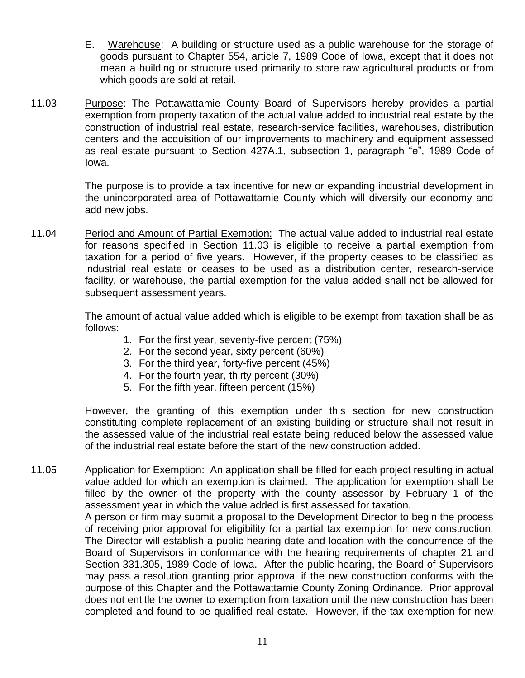- E. Warehouse: A building or structure used as a public warehouse for the storage of goods pursuant to Chapter 554, article 7, 1989 Code of Iowa, except that it does not mean a building or structure used primarily to store raw agricultural products or from which goods are sold at retail.
- 11.03 Purpose: The Pottawattamie County Board of Supervisors hereby provides a partial exemption from property taxation of the actual value added to industrial real estate by the construction of industrial real estate, research-service facilities, warehouses, distribution centers and the acquisition of our improvements to machinery and equipment assessed as real estate pursuant to Section 427A.1, subsection 1, paragraph "e", 1989 Code of Iowa.

The purpose is to provide a tax incentive for new or expanding industrial development in the unincorporated area of Pottawattamie County which will diversify our economy and add new jobs.

11.04 Period and Amount of Partial Exemption: The actual value added to industrial real estate for reasons specified in Section 11.03 is eligible to receive a partial exemption from taxation for a period of five years. However, if the property ceases to be classified as industrial real estate or ceases to be used as a distribution center, research-service facility, or warehouse, the partial exemption for the value added shall not be allowed for subsequent assessment years.

> The amount of actual value added which is eligible to be exempt from taxation shall be as follows:

- 1. For the first year, seventy-five percent (75%)
- 2. For the second year, sixty percent (60%)
- 3. For the third year, forty-five percent (45%)
- 4. For the fourth year, thirty percent (30%)
- 5. For the fifth year, fifteen percent (15%)

However, the granting of this exemption under this section for new construction constituting complete replacement of an existing building or structure shall not result in the assessed value of the industrial real estate being reduced below the assessed value of the industrial real estate before the start of the new construction added.

11.05 Application for Exemption: An application shall be filled for each project resulting in actual value added for which an exemption is claimed. The application for exemption shall be filled by the owner of the property with the county assessor by February 1 of the assessment year in which the value added is first assessed for taxation. A person or firm may submit a proposal to the Development Director to begin the process of receiving prior approval for eligibility for a partial tax exemption for new construction. The Director will establish a public hearing date and location with the concurrence of the Board of Supervisors in conformance with the hearing requirements of chapter 21 and Section 331.305, 1989 Code of Iowa. After the public hearing, the Board of Supervisors

may pass a resolution granting prior approval if the new construction conforms with the purpose of this Chapter and the Pottawattamie County Zoning Ordinance. Prior approval does not entitle the owner to exemption from taxation until the new construction has been completed and found to be qualified real estate. However, if the tax exemption for new